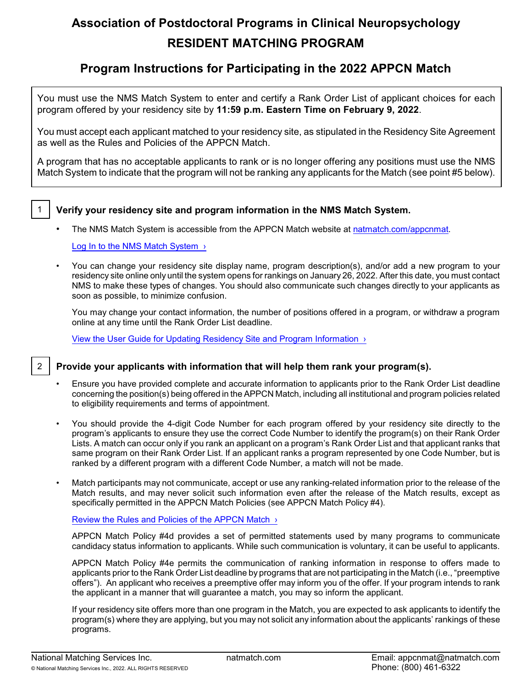# **Association of Postdoctoral Programs in Clinical Neuropsychology RESIDENT MATCHING PROGRAM**

## **Program Instructions for Participating in the 2022 APPCN Match**

You must use the NMS Match System to enter and certify a Rank Order List of applicant choices for each program offered by your residency site by **11:59 p.m. Eastern Time on February 9, 2022**.

You must accept each applicant matched to your residency site, as stipulated in the Residency Site Agreement as well as the Rules and Policies of the APPCN Match.

A program that has no acceptable applicants to rank or is no longer offering any positions must use the NMS Match System to indicate that the program will not be ranking any applicants for the Match (see point #5 below).

## 1 **Verify your residency site and program information in the NMS Match System.**

The NMS Match System is accessible from the APPCN Match website at [natmatch.com/appcnmat](https://natmatch.com/appcnmat).

Log In to the NMS Match System >

• You can change your residency site display name, program description(s), and/or add a new program to your residency site online only until the system opens for rankings on January 26, 2022. After this date, you must contact NMS to make these types of changes. You should also communicate such changes directly to your applicants as soon as possible, to minimize confusion.

You may change your contact information, the number of positions offered in a program, or withdraw a program online at any time until the Rank Order List deadline.

[View the User Guide for Updating Residency Site and Program Information ›](https://natmatch.com/appcnmat/programs/account-guide.html)

2 **Provide your applicants with information that will help them rank your program(s).**

- Ensure you have provided complete and accurate information to applicants prior to the Rank Order List deadline concerning the position(s) being offered in the APPCN Match, including all institutional and program policies related to eligibility requirements and terms of appointment.
- You should provide the 4-digit Code Number for each program offered by your residency site directly to the program's applicants to ensure they use the correct Code Number to identify the program(s) on their Rank Order Lists. A match can occur only if you rank an applicant on a program's Rank Order List and that applicant ranks that same program on their Rank Order List. If an applicant ranks a program represented by one Code Number, but is ranked by a different program with a different Code Number, a match will not be made.
- Match participants may not communicate, accept or use any ranking-related information prior to the release of the Match results, and may never solicit such information even after the release of the Match results, except as specifically permitted in the APPCN Match Policies (see APPCN Match Policy #4).

#### [Review the Rules and Policies of the APPCN Match ›](https://natmatch.com/appcnmat/rules.html)

APPCN Match Policy #4d provides a set of permitted statements used by many programs to communicate candidacy status information to applicants. While such communication is voluntary, it can be useful to applicants.

APPCN Match Policy #4e permits the communication of ranking information in response to offers made to applicants prior to the Rank Order List deadline by programs that are not participating in the Match (i.e., "preemptive offers"). An applicant who receives a preemptive offer may inform you of the offer. If your program intends to rank the applicant in a manner that will guarantee a match, you may so inform the applicant.

If your residency site offers more than one program in the Match, you are expected to ask applicants to identify the program(s) where they are applying, but you may not solicit any information about the applicants' rankings of these programs.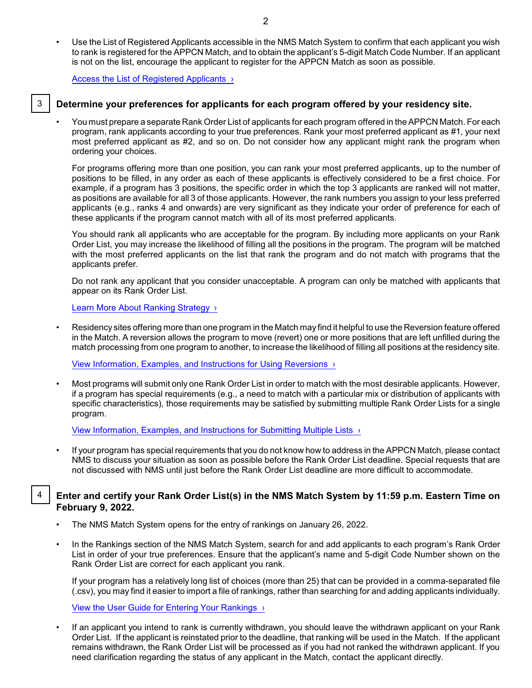• Use the List of Registered Applicants accessible in the NMS Match System to confirm that each applicant you wish to rank is registered for the APPCN Match, and to obtain the applicant's 5-digit Match Code Number. If an applicant is not on the list, encourage the applicant to register for the APPCN Match as soon as possible.

[Access the List of Registered Applicants ›](https://natmatch.com/appcnmat/programs/applications.html#appllist)

#### 3 **Determine your preferences for applicants for each program offered by your residency site.**

• You must prepare a separate Rank Order List of applicants for each program offered in the APPCN Match. For each program, rank applicants according to your true preferences. Rank your most preferred applicant as #1, your next most preferred applicant as #2, and so on. Do not consider how any applicant might rank the program when ordering your choices.

For programs offering more than one position, you can rank your most preferred applicants, up to the number of positions to be filled, in any order as each of these applicants is effectively considered to be a first choice. For example, if a program has 3 positions, the specific order in which the top 3 applicants are ranked will not matter, as positions are available for all 3 of those applicants. However, the rank numbers you assign to your less preferred applicants (e.g., ranks 4 and onwards) are very significant as they indicate your order of preference for each of these applicants if the program cannot match with all of its most preferred applicants.

You should rank all applicants who are acceptable for the program. By including more applicants on your Rank Order List, you may increase the likelihood of filling all the positions in the program. The program will be matched with the most preferred applicants on the list that rank the program and do not match with programs that the applicants prefer.

Do not rank any applicant that you consider unacceptable. A program can only be matched with applicants that appear on its Rank Order List.

[Learn More About Ranking Strategy ›](https://natmatch.com/appcnmat/programs/strategy.html)

• Residency sites offering more than one program in the Match may find it helpful to use the Reversion feature offered in the Match. A reversion allows the program to move (revert) one or more positions that are left unfilled during the match processing from one program to another, to increase the likelihood of filling all positions at the residency site.

[View Information, Examples, and Instructions for Using Reversions ›](https://natmatch.com/appcnmat/programs/reversions.html)

• Most programs will submit only one Rank Order List in order to match with the most desirable applicants. However, if a program has special requirements (e.g., a need to match with a particular mix or distribution of applicants with specific characteristics), those requirements may be satisfied by submitting multiple Rank Order Lists for a single program.

[View Information, Examples, and Instructions for Submitting Multiple Lists ›](https://natmatch.com/appcnmat/programs/multiplelists.html)

• If your program has special requirements that you do not know how to address in the APPCN Match, please contact NMS to discuss your situation as soon as possible before the Rank Order List deadline. Special requests that are not discussed with NMS until just before the Rank Order List deadline are more difficult to accommodate.

#### 4 **Enter and certify your Rank Order List(s) in the NMS Match System by 11:59 p.m. Eastern Time on February 9, 2022.**

- The NMS Match System opens for the entry of rankings on January 26, 2022.
- In the Rankings section of the NMS Match System, search for and add applicants to each program's Rank Order List in order of your true preferences. Ensure that the applicant's name and 5-digit Code Number shown on the Rank Order List are correct for each applicant you rank.

If your program has a relatively long list of choices (more than 25) that can be provided in a comma-separated file (.csv), you may find it easier to import a file of rankings, rather than searching for and adding applicants individually.

[View the User Guide for Entering Your Rankings ›](https://natmatch.com/appcnmat/programs/rankings-guide.html#enter)

• If an applicant you intend to rank is currently withdrawn, you should leave the withdrawn applicant on your Rank Order List. If the applicant is reinstated prior to the deadline, that ranking will be used in the Match. If the applicant remains withdrawn, the Rank Order List will be processed as if you had not ranked the withdrawn applicant. If you need clarification regarding the status of any applicant in the Match, contact the applicant directly.